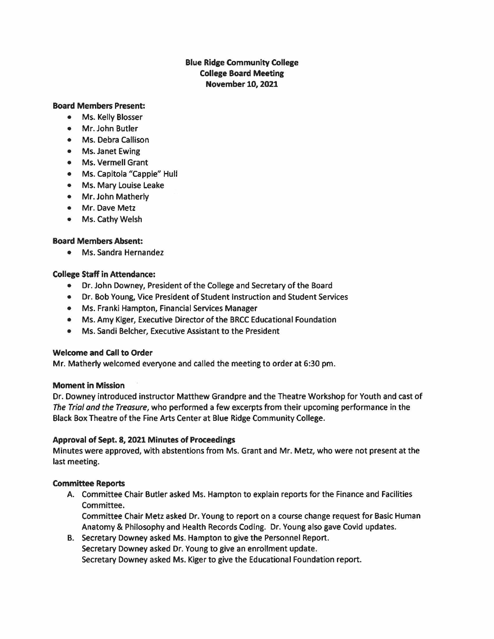# Blue **Ridge** Community **College College Board Meeting November 10, 2021**

#### **Board Members Present:**

- Ms. Kelly Blosser
- Mr. John Butler
- Ms. Debra Callison
- Ms. Janet Ewing
- Ms. Vermell Grant
- Ms. Capitola "Cappie" Hull
- Ms. Mary Louise Leake
- Mr. John Matherly
- Mr. Dave Metz
- Ms. Cathy Welsh

# **Board Members Absent:**

• Ms. Sandra Hernandez

# **College Staff in Attendance:**

- Dr. John Downey, President of the College and Secretary of the Board
- Dr. Bob Young, Vice President of Student Instruction and Student Services
- Ms. Franki Hampton, Financial Services Manager
- Ms. Amy Kiger, Executive Director of the BRCC Educational Foundation
- Ms. Sandi Belcher, Executive Assistant to the President

# **Welcome and** call **to Order**

Mr. Matherly welcomed everyone and called the meeting to order at 6:30 pm.

# **Moment in Mission**

Dr. Downey introduced instructor Matthew Grandpre and the Theatre Workshop for Youth and cast of The Trial and the Treasure, who performed a few excerpts from their upcoming performance in the Black Box Theatre of the Fine Arts Center at Blue Ridge Community College.

# **Approval of Sept. 8, 2021 Minutes of Proceedings**

Minutes were approved, with abstentions from Ms. Grant and Mr. Metz, who were not present at the last meeting.

# **Committee Reports**

A. Committee Chair Butler asked Ms. Hampton to explain reports for the Finance and Facilities Committee.

Committee Chair Metz asked Dr. Young to report on a course change request for Basic Human Anatomy & Philosophy and Health Records Coding. Dr. Young also gave Covid updates.

B. Secretary Downey asked Ms. Hampton to give the Personnel Report. Secretary Downey asked Dr. Young to give an enrollment update. Secretary Downey asked Ms. Kiger to give the Educational Foundation report.